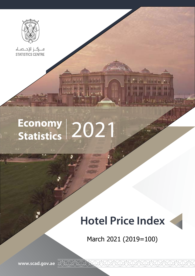

ف رکار الإحاضاء<br>STATISTICS CENTRE

# Economy 2021

**HAMALASMA** 

**Anderson** 

### **Hotel Price Index**

**Harris Mount Street La** 



March 2021 (2019=100)

www.scad.gov.ae XXXXXXX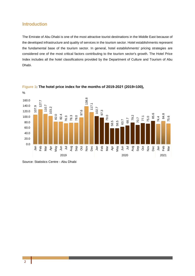#### **Introduction**

The Emirate of Abu Dhabi is one of the most attractive tourist destinations in the Middle East because of the developed infrastructure and quality of services in the tourism sector. Hotel establishments represent the fundamental base of the tourism sector. In general, hotel establishments' pricing strategies are considered one of the most critical factors contributing to the tourism sector's growth. The Hotel Price Index includes all the hotel classifications provided by the Department of Culture and Tourism of Abu Dhabi.





Source: Statistics Centre - Abu Dhabi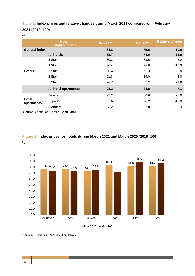**Table 1: Index prices and relative changes during March 2021 compared with February** ,(**100**=**2019**) **2021**

%

|                            | <b>Hotel</b><br>establishments | <b>Feb 2021</b> | <b>Mar 2021</b> | <b>Relative change</b><br>$\%$ |
|----------------------------|--------------------------------|-----------------|-----------------|--------------------------------|
| <b>General index</b>       |                                | 84.8            | 75.6            | $-10.9$                        |
|                            | <b>All hotels</b>              | 83.7            | 74.0            | $-11.6$                        |
| <b>Hotels</b>              | 5 Star                         | 80.2            | 73.6            | $-8.2$                         |
|                            | 4 Star                         | 90.4            | 75.6            | $-16.3$                        |
|                            | 3 Star                         | 96.4            | 71.3            | $-26.0$                        |
|                            | 2 Star                         | 91.8            | 89.0            | $-3.0$                         |
|                            | 1 Star                         | 96.7            | 87.2            | $-9.8$                         |
|                            | All hotel apartments           | 91.3            | 84.8            | $-7.1$                         |
| <b>Hotel</b><br>apartments | Deluxe                         | 92.2            | 86.6            | $-6.0$                         |
|                            | Superior                       | 87.6            | 76.2            | $-13.0$                        |
|                            | Standard                       | 93.2            | 92.8            | $-0.4$                         |

Source: Statistics Centre - Abu Dhabi

#### **Figure 2: Index prices for hotels during March 2021 and March 2020 (2019=100),**

%



Source: Statistics Centre - Abu Dhabi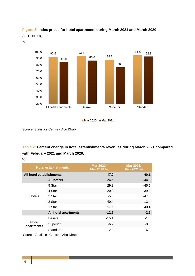

**Figure 3: Index prices for hotel apartments during March 2021 and March 2020** ,**(100**=**2019**)

%



Source: Statistics Centre - Abu Dhabi

#### **Table 2: Percent change in hotel establishments revenues during March 2021 compared with February 2021 and March 2020,**

%

| <b>Hotel establishments</b> |                      | Mar 2021/<br>Mar 2020 % | Mar 2021/<br>Feb 2021 % |
|-----------------------------|----------------------|-------------------------|-------------------------|
| All hotel establishments    |                      | 17.0                    | $-40.1$                 |
|                             | <b>All hotels</b>    | 24.5                    | $-44.0$                 |
|                             | 5 Star               | 29.9                    | $-45.2$                 |
|                             | 4 Star               | 20.0                    | $-39.8$                 |
| <b>Hotels</b>               | 3 Star               | $-5.3$                  | $-47.0$                 |
|                             | 2 Star               | 40.1                    | $-13.4$                 |
|                             | 1 Star               | 17.1                    | $-40.4$                 |
|                             | All hotel apartments | $-12.5$                 | $-2.6$                  |
|                             | Deluxe               | $-15.1$                 | $-1.6$                  |
| Hotel<br>apartments         | Superior             | $-6.2$                  | $-9.0$                  |
|                             | Standard             | $-2.8$                  | 6.9                     |

Source: Statistics Centre - Abu Dhabi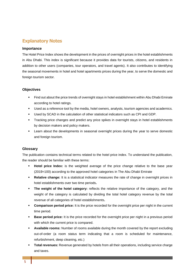#### **Explanatory Notes**

#### **Importance**

The Hotel Price Index shows the development in the prices of overnight prices in the hotel establishments in Abu Dhabi. This index is significant because it provides data for tourists, citizens, and residents in addition to other users (companies, tour operators, and travel agents). It also contributes to identifying the seasonal movements in hotel and hotel apartments prices during the year, to serve the domestic and foreign tourism sector.

#### **Objectives**

- Find out about the price trends of overnight stays in hotel establishment within Abu Dhabi Emirate according to hotel ratings.
- **.** Used as a reference tool by the media, hotel owners, analysts, tourism agencies and academics.
- Used by SCAD in the calculation of other statistical indicators such as CPI and GDP.
- **Figure 1** Tracking price changes and predict any price spikes in overnight stays in hotel establishments by decision makers and policy makers.
- Learn about the developments in seasonal overnight prices during the year to serve domestic and foreign tourism.

#### **Glossary**

The publication contains technical terms related to the hotel price index. To understand the publication, the reader should be familiar with these terms:

- **EXECT** base the to relative the weighted average of the price change relative to the base year (2019=100) according to the approved hotel categories in The Abu Dhabi Emirate
- **Example:** It is a statistical indicator measures the rate of change in overnight prices in hotel establishments over two time periods.
- **The weight of the hotel category:** reflects the relative importance of the category, and the weight of the category is calculated by dividing the total hotel category revenue by the total revenue of all categories of hotel establishments.
- **Comparison period price:** It is the price recorded for the overnight price per night in the current time period.
- **Base period price:** It is the price recorded for the overnight price per night in a previous period with which the current price is compared.
- **Available rooms:** Number of rooms available during the month covered by the report excluding out-of-order (a room status term indicating that a room is scheduled for maintenance, refurbishment, deep cleaning, etc.)
- Total revenues: Revenue generated by hotels from all their operations, including service charge and taxes.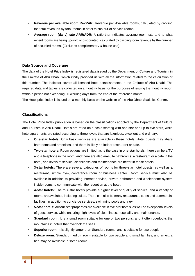- **Revenue per available room RevPAR:** Revenue per Available rooms, calculated by dividing the total revenues by total rooms in hotel minus out-of-service rooms.
- **Average room (daily) rate ARR/ADR:** A ratio that indicates average room rate and to what extent rooms are being up-sold or discounted; calculated by dividing room revenue by the number of occupied rooms. (Excludes complimentary & house use).

#### **Data Source and Coverage**

The data of the Hotel Price Index is registered data issued by the Department of Culture and Tourism in the Emirate of Abu Dhabi, which kindly provided us with all the information related to the calculation of this number. The indicator covers all licensed hotel establishments in the Emirate of Abu Dhabi. The required data and tables are collected on a monthly basis for the purposes of issuing the monthly report within a period not exceeding 60 working days from the end of the reference month.

The Hotel price index is issued on a monthly basis on the website of the Abu Dhabi Statistics Centre.

#### **Classifications**

The Hotel Price Index publication is based on the classifications adopted by the Department of Culture and Tourism in Abu Dhabi. Hotels are rated on a scale starting with one star and up to five stars, while hotel apartments are rated according to three levels that are luxurious, excellent and ordinary.

- **One-star hotels:** Only basic services are available in these hotels. Hotel guests may share bathrooms and amenities, and there is likely no indoor restaurant or cafe.
- Two-star hotels: Room options are limited, as is the case in one-star hotels, there can be a TV and a telephone in the room, and there are also an-suite bathrooms, a restaurant or a cafe in the hotel, and levels of service, cleanliness and maintenance are better in these hotels.
- **3-star hotels:** There are several categories of rooms for three-star hotel quests, as well as a restaurant, simple gym, conference room or business center. Room service must also be available in addition to providing internet service, private bathrooms and a telephone system inside rooms to communicate with the reception at the hotel.
- 4-star hotels: The four-star hotels provide a higher level of quality of service, and a variety of rooms are available, including suites. There can also be many restaurants, cafes and commercial facilities, in addition to concierge services, swimming pools and a gym.
- **5-star hotels:** All four-star properties are available in five-star hotels, as well as exceptional levels of guest service, while ensuring high levels of cleanliness, hospitality and maintenance.
- **Standard room:** It is a small room suitable for one or two persons, and it often overlooks the mountains in hotels that overlook the seas.
- **Superior room:** It is slightly larger than Standard rooms, and is suitable for two people.
- **Deluxe room:** Standard medium room suitable for two people and small families, and an extra bed may be available in some rooms.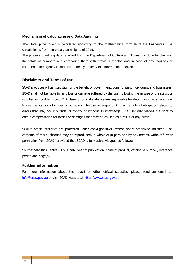#### **Mechanism of calculating and Data Auditing**

The Hotel price index is calculated according to the mathematical formula of the Laspeyres. The calculation is from the base vear weights of 2019.

The process of editing data received from the Department of Culture and Tourism is done by checking the totals of numbers and comparing them with previous months and in case of any inquiries or comments, the agency is contacted directly to verify the information received.

#### **Disclaimer and Terms of use**

SCAD produces official statistics for the benefit of government, communities, individuals, and businesses. SCAD shall not be liable for any loss or damage suffered by the user following the misuse of the statistics supplied in good faith by SCAD. Users of official statistics are responsible for determining when and how to use the statistics for specific purposes. The user exempts SCAD from any legal obligation related to errors that may occur outside its control or without its knowledge. The user also waives the right to obtain compensation for losses or damages that may be caused as a result of any error.

SCAD's official statistics are protected under copyright laws, except where otherwise indicated. The contents of this publication may be reproduced, in whole or in part, and by any means, without further permission from SCAD, provided that SCAD is fully acknowledged as follows:

Source: Statistics Centre - Abu Dhabi, year of publication, name of product, catalogue number, reference period and page(s).

#### **Further information**

For more information about the report or other official statistics, please send an email to: info@scad.gov.ae or visit SCAD website at http://www.scad.gov.ae.